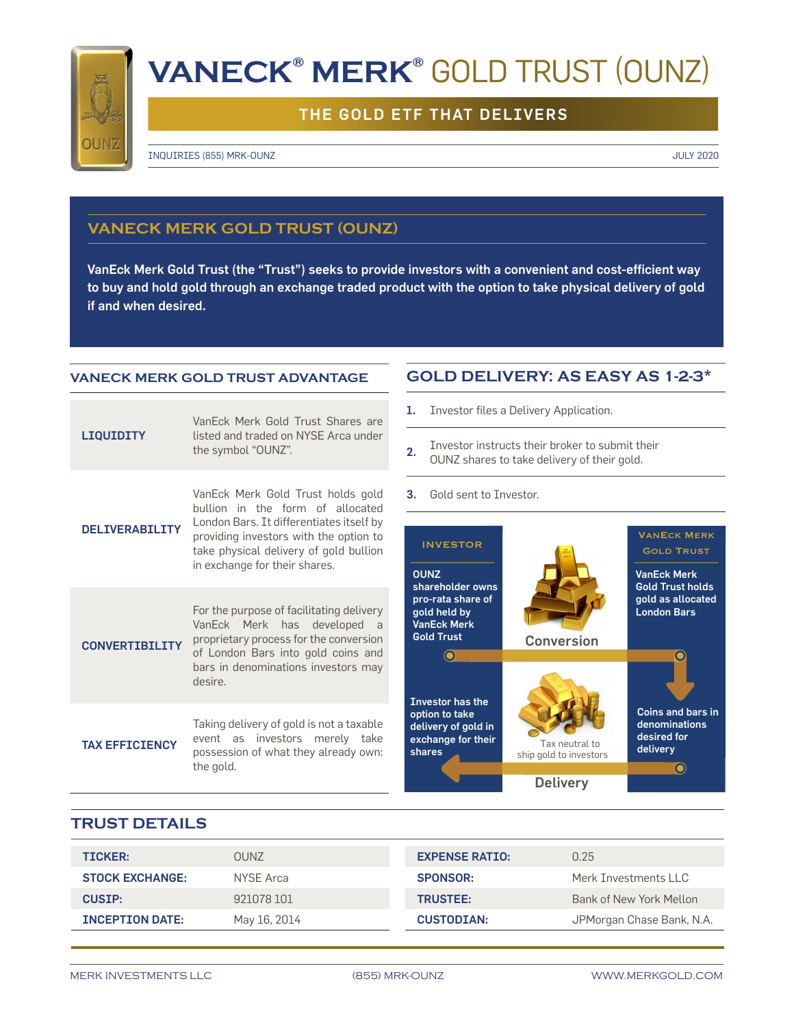

# **VANECK® MERK®** GOLD TRUST (OUNZ)

## THE GOLD ETF THAT DELIVERS

INQUIRIES (855) MRK-OUNZ JULY 2020

## **VANECK MERK GOLD TRUST (OUNZ)**

VanEck Merk Gold Trust (the "Trust") seeks to provide investors with a convenient and cost-efficient way to buy and hold gold through an exchange traded product with the option to take physical delivery of gold if and when desired.

#### **VANECK MERK GOLD TRUST ADVANTAGE**

| LIQUIDITY              | VanEck Merk Gold Trust Shares are<br>listed and traded on NYSE Arca under<br>the symbol "OUNZ".                                                                                                                                        |
|------------------------|----------------------------------------------------------------------------------------------------------------------------------------------------------------------------------------------------------------------------------------|
| <b>DELIVERABILITY</b>  | VanEck Merk Gold Trust holds gold<br>bullion in the form of allocated<br>London Bars. It differentiates itself by<br>providing investors with the option to<br>take physical delivery of gold bullion<br>in exchange for their shares. |
| <b>CONVERTTRTI TTY</b> | For the purpose of facilitating delivery<br>VanEck Merk has developed<br>a a<br>proprietary process for the conversion<br>of London Bars into gold coins and<br>bars in denominations investors may<br>desire.                         |
| <b>TAX EFFICIENCY</b>  | Taking delivery of gold is not a taxable<br>event as investors merely take<br>possession of what they already own:<br>the gold.                                                                                                        |

## **GOLD DELIVERY: AS EASY AS 1-2-3\***

1. Investor files a Delivery Application.

- 2. Investor instructs their broker to submit their OUNZ shares to take delivery of their gold.
- 3. Gold sent to Investor.



### **TRUST DETAILS**

| <b>TICKER:</b>         | <b>OUNZ</b>  | <b>EXPENSE RATIO:</b> | 0.25                      |
|------------------------|--------------|-----------------------|---------------------------|
| <b>STOCK EXCHANGE:</b> | NYSE Arca    | <b>SPONSOR:</b>       | Merk Investments LLC      |
| <b>CUSTP:</b>          | 921078 101   | <b>TRUSTEE:</b>       | Bank of New York Mellon   |
| <b>INCEPTION DATE:</b> | May 16, 2014 | <b>CUSTODIAN:</b>     | JPMorgan Chase Bank, N.A. |